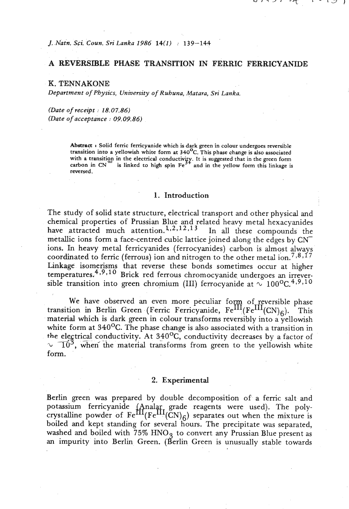*J. Natn. Sci. Coun. Sri Lanka 1986 14(1)* : 139-144

## *A* **REVERSIBLE PHASE TRANSITION IN FERRIC FERRICYANIDE**

*K. TENNAKONE Department* **of** *Physics, University* **of** *Ruhuna, Matara,* **Sri** *Lanka.* 

*(Date* **of** *receipt* : *18.07.86) (Date* **of** *acceptance* : *09.09.86)* 

> Abstract : Solid ferric ferricyanide which is dark green in colour undergoes reversible transition into a yellowish white form at 340<sup>o</sup>C. This phase change is also associated **with a transition in the electrical conductivlfy. It is suggested that in the green form**   $\text{carbon in CN}^-$  is linked to high spin  $\text{Fe}^{3+}$  and in the yellow form this linkage is **reversed.**

## **1.** Introduction

The study of solid state structure, electrical transport and other physical and chemical properties of Prussian Blue and related heavy metal hexacyanides have attracted much attention.<sup>1,2,12,13</sup> In all these compounds the metallic ions form a face-centred cubic lattice joined along the edges by CNions. In heavy metal ferricyanides (ferrocyanides) carbon is almost always coordinated to ferric (ferrous) ion and nitrogen to the other metal ion.<sup>7,8,17</sup> Linkage isomerisms that reverse these bonds sometimes occur at higher temperatures.<sup>4,9,10</sup> Brick red ferrous chromocyanide undergoes an irreversible transition into green chromium (III) ferrocyanide at  $\sim 100^{\circ}C^{4,9,10}$ 

We have observed an even more peculiar form of reversible phase transition in Berlin Green (Ferric Ferricyanide, Fe<sup>III</sup>(Fe<sup>III</sup>(CN)<sub>6</sub>). This material which is dark green in colour transforms reversibly into a yellowish white form at 340<sup>o</sup>C. The phase change is also associated with a transition in the electrical conductivity. At 340<sup>o</sup>C, conductivity decreases by a factor of  $\sqrt{10^3}$ , when the material transforms from green to the yellowish white form.

## **2. Experimental**

Berlin green was prepared by double decomposition of a ferric salt and potassium ferricyanide (Analar grade reagents were used). The poly-<br>crystalline powder of  $Fe^{III}(Fe^{III}(CN)_6)$  separates out when the mixture is boiled and kept standing for several hours. The precipitate was separated, washed and boiled with 75% HNO<sub>3</sub> to convert any Prussian Blue present as an impurity into Berlin Green. (Berlin Green is unusually stable towards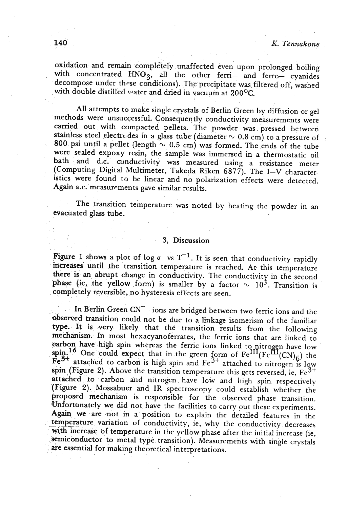oxidation and remain comple'tely unaffected even upon prolonged boiling with concentrated HNO<sub>3</sub>, all the other ferri- and ferro- cyanides decompose under these conditions). The precipitate was. filtered off, washed with double distilled water and dried in vacuum at 200°C.

All attempts to make single crystals of Berlin Green by diffusion or gel methods were unsuccessful. Consequently conductivity measurements were carried out with compacted pellets. The powder was pressed between stainless steel electrodes in a glass tube (diameter  $\sim$  0.8 cm) to a pressure of 800 psi until a pellet (length  $\sim$  0.5 cm) was formed. The ends of the tube were sealed expoxy resin, the sample was immersed in a thermostatic oil bath and d.c. conductivity was measured using a resistance meter (Computing Digital Multimeter, Takeda Riken 6877). The I-V characteristics were found to be linear and no polarization effects were detected. Again a.c. measurements gave similar results.

The transition temperature was noted by heating the powder in an evacuated glass tube.

## 3. Discussion

Figure 1 shows a plot of log  $\sigma$  vs T<sup>-1</sup>. It is seen that conductivity rapidly increases until the transition temperature is reached. At this temperature there is an abrupt change in conductivity. The conductivity in the second phase (ie, the yellow form) is smaller by a factor  $\sim 10^3$ . Transition is completely reversible, no hysteresis effects are seen.

In Berlin Green CN<sup>-</sup> ions are bridged between two ferric ions and the obsewed transition could not be due to a linkage isomerism of the familiar type. It is very likely that the transition results from the following mechanism. In most hexacyanoferrates, the ferric ions that are linked to earbon have high spin whereas the ferric ions linked to nitrogen have low arbon have fight spin whereas the ferric ions inked to nitrogen have low<br>pin.<sup>16</sup> One could expect that in the green form of  $Fe^{III}(Fe^{III}(CN)_{\odot})$  the  $\epsilon^{3+}$  attached to carbon is high spin and  $\epsilon^{3+}$  attached to nitrogen is low spin (Figure 2). Above the transition temperature this gets reversed, ie,  $Fe^{3+}$ attached to carbon and nitrogen have low and high spin respectively (Figure 2). Mossabuer and IR spectroscopy could establish whether the proposed mechanism is responsible for the observed phase transition. Unfortunately we did not have the facilities to carry out these experiments. Again we are not in a position to explain the detailed features in the temperature variation of conductivity, ie, why the conductivity decreases with increase of temperature in the yellow phase after the initial increase (ie, semiconductor to metal type transition). Measurements with single crystals are essential for making theoretical interpretations.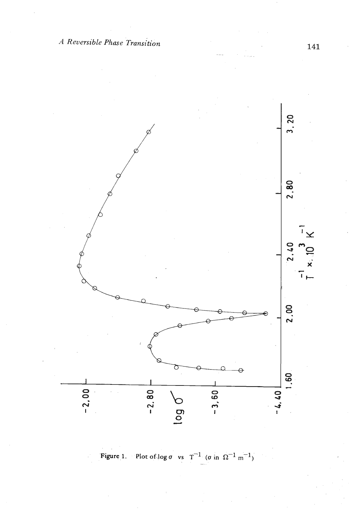

Figure 1. Plot of  $\log \sigma$  vs  $T^{-1}$  ( $\sigma$  in  $\Omega^{-1}$  m<sup>-1</sup>)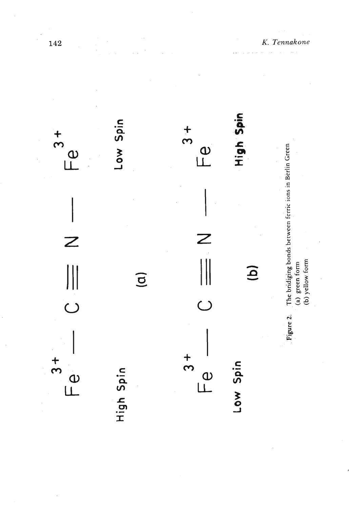

142

*K. Tennakone*